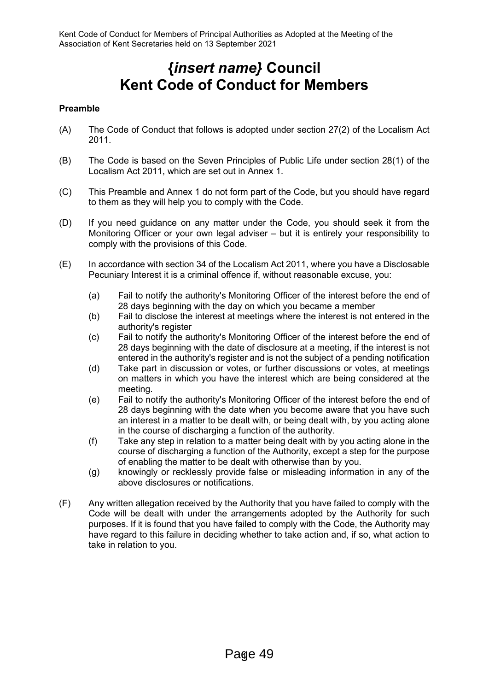# **{***insert name}* **Council Kent Code of Conduct for Members**

# **Preamble**

- (A) The Code of Conduct that follows is adopted under section 27(2) of the Localism Act 2011.
- (B) The Code is based on the Seven Principles of Public Life under section 28(1) of the Localism Act 2011, which are set out in Annex 1.
- (C) This Preamble and Annex 1 do not form part of the Code, but you should have regard to them as they will help you to comply with the Code.
- (D) If you need guidance on any matter under the Code, you should seek it from the Monitoring Officer or your own legal adviser – but it is entirely your responsibility to comply with the provisions of this Code.
- (E) In accordance with section 34 of the Localism Act 2011, where you have a Disclosable Pecuniary Interest it is a criminal offence if, without reasonable excuse, you:
	- (a) Fail to notify the authority's Monitoring Officer of the interest before the end of 28 days beginning with the day on which you became a member
	- (b) Fail to disclose the interest at meetings where the interest is not entered in the authority's register
	- (c) Fail to notify the authority's Monitoring Officer of the interest before the end of 28 days beginning with the date of disclosure at a meeting, if the interest is not entered in the authority's register and is not the subject of a pending notification
	- (d) Take part in discussion or votes, or further discussions or votes, at meetings on matters in which you have the interest which are being considered at the meeting.
	- (e) Fail to notify the authority's Monitoring Officer of the interest before the end of 28 days beginning with the date when you become aware that you have such an interest in a matter to be dealt with, or being dealt with, by you acting alone in the course of discharging a function of the authority.
	- (f) Take any step in relation to a matter being dealt with by you acting alone in the course of discharging a function of the Authority, except a step for the purpose of enabling the matter to be dealt with otherwise than by you.
	- (g) knowingly or recklessly provide false or misleading information in any of the above disclosures or notifications.
- (F) Any written allegation received by the Authority that you have failed to comply with the Code will be dealt with under the arrangements adopted by the Authority for such purposes. If it is found that you have failed to comply with the Code, the Authority may have regard to this failure in deciding whether to take action and, if so, what action to take in relation to you.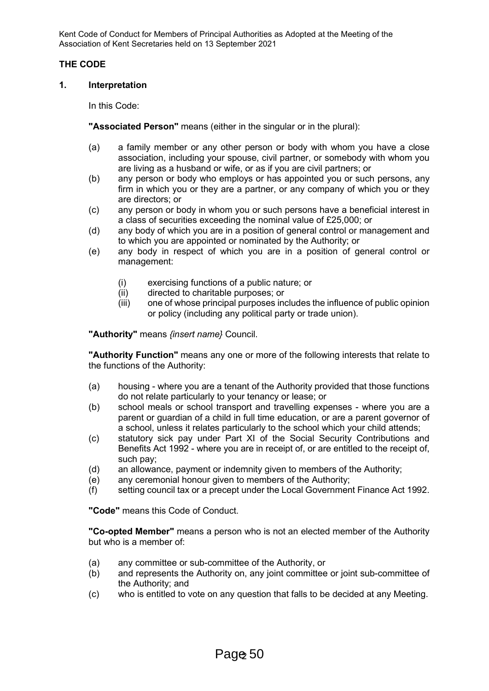# **THE CODE**

#### **1. Interpretation**

In this Code:

**"Associated Person"** means (either in the singular or in the plural):

- (a) a family member or any other person or body with whom you have a close association, including your spouse, civil partner, or somebody with whom you are living as a husband or wife, or as if you are civil partners; or
- (b) any person or body who employs or has appointed you or such persons, any firm in which you or they are a partner, or any company of which you or they are directors; or
- (c) any person or body in whom you or such persons have a beneficial interest in a class of securities exceeding the nominal value of £25,000; or
- (d) any body of which you are in a position of general control or management and to which you are appointed or nominated by the Authority; or
- (e) any body in respect of which you are in a position of general control or management:
	- (i) exercising functions of a public nature; or
	- (ii) directed to charitable purposes; or
	- (iii) one of whose principal purposes includes the influence of public opinion or policy (including any political party or trade union).

**"Authority"** means *{insert name}* Council.

**"Authority Function"** means any one or more of the following interests that relate to the functions of the Authority:

- (a) housing where you are a tenant of the Authority provided that those functions do not relate particularly to your tenancy or lease; or
- (b) school meals or school transport and travelling expenses where you are a parent or guardian of a child in full time education, or are a parent governor of a school, unless it relates particularly to the school which your child attends;
- (c) statutory sick pay under Part XI of the Social Security Contributions and Benefits Act 1992 - where you are in receipt of, or are entitled to the receipt of, such pay;
- (d) an allowance, payment or indemnity given to members of the Authority;
- (e) any ceremonial honour given to members of the Authority;
- (f) setting council tax or a precept under the Local Government Finance Act 1992.

**"Code"** means this Code of Conduct.

**"Co-opted Member"** means a person who is not an elected member of the Authority but who is a member of:

- (a) any committee or sub-committee of the Authority, or
- (b) and represents the Authority on, any joint committee or joint sub-committee of the Authority; and
- (c) who is entitled to vote on any question that falls to be decided at any Meeting.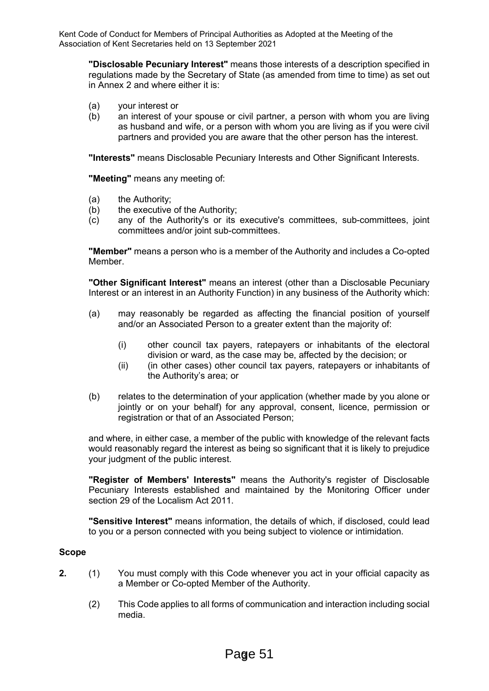**"Disclosable Pecuniary Interest"** means those interests of a description specified in regulations made by the Secretary of State (as amended from time to time) as set out in Annex 2 and where either it is:

- (a) your interest or<br>(b) an interest of  $\nu$
- an interest of your spouse or civil partner, a person with whom you are living as husband and wife, or a person with whom you are living as if you were civil partners and provided you are aware that the other person has the interest.

**"Interests"** means Disclosable Pecuniary Interests and Other Significant Interests.

**"Meeting"** means any meeting of:

- (a) the Authority;
- (b) the executive of the Authority;
- (c) any of the Authority's or its executive's committees, sub-committees, joint committees and/or joint sub-committees.

**"Member"** means a person who is a member of the Authority and includes a Co-opted Member.

**"Other Significant Interest"** means an interest (other than a Disclosable Pecuniary Interest or an interest in an Authority Function) in any business of the Authority which:

- (a) may reasonably be regarded as affecting the financial position of yourself and/or an Associated Person to a greater extent than the majority of:
	- (i) other council tax payers, ratepayers or inhabitants of the electoral division or ward, as the case may be, affected by the decision; or
	- (ii) (in other cases) other council tax payers, ratepayers or inhabitants of the Authority's area; or
- (b) relates to the determination of your application (whether made by you alone or jointly or on your behalf) for any approval, consent, licence, permission or registration or that of an Associated Person;

and where, in either case, a member of the public with knowledge of the relevant facts would reasonably regard the interest as being so significant that it is likely to prejudice your judgment of the public interest.

**"Register of Members' Interests"** means the Authority's register of Disclosable Pecuniary Interests established and maintained by the Monitoring Officer under section 29 of the Localism Act 2011.

**"Sensitive Interest"** means information, the details of which, if disclosed, could lead to you or a person connected with you being subject to violence or intimidation.

# **Scope**

- **2.** (1) You must comply with this Code whenever you act in your official capacity as a Member or Co-opted Member of the Authority.
	- (2) This Code applies to all forms of communication and interaction including social media.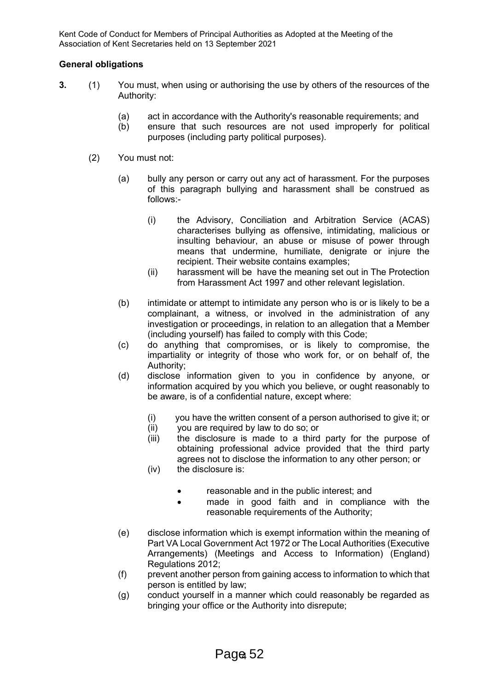# **General obligations**

- **3.** (1) You must, when using or authorising the use by others of the resources of the Authority:
	- (a) act in accordance with the Authority's reasonable requirements; and
	- (b) ensure that such resources are not used improperly for political purposes (including party political purposes).

# (2) You must not:

- (a) bully any person or carry out any act of harassment. For the purposes of this paragraph bullying and harassment shall be construed as follows:-
	- (i) the Advisory, Conciliation and Arbitration Service (ACAS) characterises bullying as offensive, intimidating, malicious or insulting behaviour, an abuse or misuse of power through means that undermine, humiliate, denigrate or injure the recipient. Their website contains examples;
	- (ii) harassment will be have the meaning set out in The Protection from Harassment Act 1997 and other relevant legislation.
- (b) intimidate or attempt to intimidate any person who is or is likely to be a complainant, a witness, or involved in the administration of any investigation or proceedings, in relation to an allegation that a Member (including yourself) has failed to comply with this Code;
- (c) do anything that compromises, or is likely to compromise, the impartiality or integrity of those who work for, or on behalf of, the Authority;
- (d) disclose information given to you in confidence by anyone, or information acquired by you which you believe, or ought reasonably to be aware, is of a confidential nature, except where:
	- (i) you have the written consent of a person authorised to give it; or  $(i)$  vou are required by law to do so; or
	- (ii) you are required by law to do so; or<br>(iii) the disclosure is made to a third
	- the disclosure is made to a third party for the purpose of obtaining professional advice provided that the third party agrees not to disclose the information to any other person; or
	- (iv) the disclosure is:
		- reasonable and in the public interest; and
		- made in good faith and in compliance with the reasonable requirements of the Authority;
- (e) disclose information which is exempt information within the meaning of Part VA Local Government Act 1972 or The Local Authorities (Executive Arrangements) (Meetings and Access to Information) (England) Regulations 2012;
- (f) prevent another person from gaining access to information to which that person is entitled by law;
- (g) conduct yourself in a manner which could reasonably be regarded as bringing your office or the Authority into disrepute;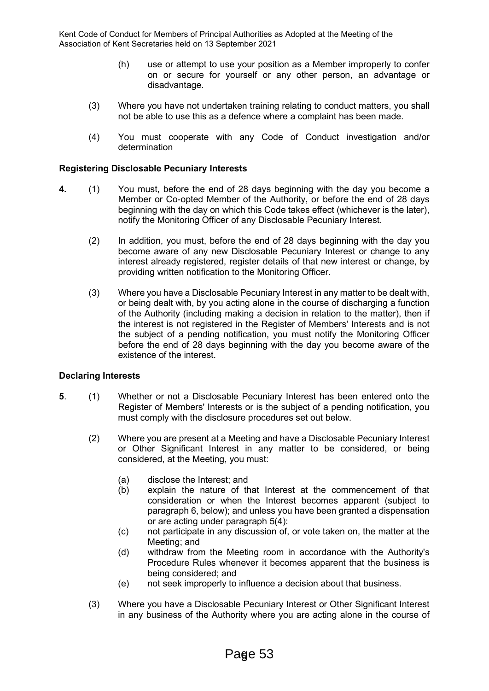- (h) use or attempt to use your position as a Member improperly to confer on or secure for yourself or any other person, an advantage or disadvantage.
- (3) Where you have not undertaken training relating to conduct matters, you shall not be able to use this as a defence where a complaint has been made.
- (4) You must cooperate with any Code of Conduct investigation and/or determination

# **Registering Disclosable Pecuniary Interests**

- **4.** (1) You must, before the end of 28 days beginning with the day you become a Member or Co-opted Member of the Authority, or before the end of 28 days beginning with the day on which this Code takes effect (whichever is the later), notify the Monitoring Officer of any Disclosable Pecuniary Interest.
	- (2) In addition, you must, before the end of 28 days beginning with the day you become aware of any new Disclosable Pecuniary Interest or change to any interest already registered, register details of that new interest or change, by providing written notification to the Monitoring Officer.
	- (3) Where you have a Disclosable Pecuniary Interest in any matter to be dealt with, or being dealt with, by you acting alone in the course of discharging a function of the Authority (including making a decision in relation to the matter), then if the interest is not registered in the Register of Members' Interests and is not the subject of a pending notification, you must notify the Monitoring Officer before the end of 28 days beginning with the day you become aware of the existence of the interest.

#### **Declaring Interests**

- **5**. (1) Whether or not a Disclosable Pecuniary Interest has been entered onto the Register of Members' Interests or is the subject of a pending notification, you must comply with the disclosure procedures set out below.
	- (2) Where you are present at a Meeting and have a Disclosable Pecuniary Interest or Other Significant Interest in any matter to be considered, or being considered, at the Meeting, you must:
		- (a) disclose the Interest; and
		- (b) explain the nature of that Interest at the commencement of that consideration or when the Interest becomes apparent (subject to paragraph 6, below); and unless you have been granted a dispensation or are acting under paragraph 5(4):
		- (c) not participate in any discussion of, or vote taken on, the matter at the Meeting; and
		- (d) withdraw from the Meeting room in accordance with the Authority's Procedure Rules whenever it becomes apparent that the business is being considered; and
		- (e) not seek improperly to influence a decision about that business.
	- (3) Where you have a Disclosable Pecuniary Interest or Other Significant Interest in any business of the Authority where you are acting alone in the course of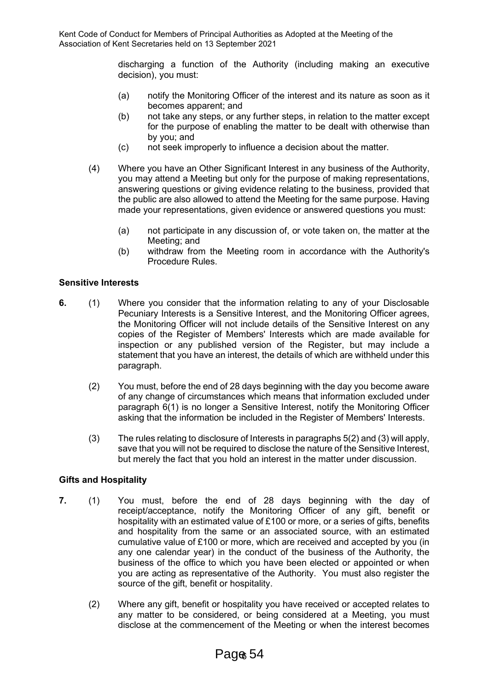discharging a function of the Authority (including making an executive decision), you must:

- (a) notify the Monitoring Officer of the interest and its nature as soon as it becomes apparent; and
- (b) not take any steps, or any further steps, in relation to the matter except for the purpose of enabling the matter to be dealt with otherwise than by you; and
- (c) not seek improperly to influence a decision about the matter.
- (4) Where you have an Other Significant Interest in any business of the Authority, you may attend a Meeting but only for the purpose of making representations, answering questions or giving evidence relating to the business, provided that the public are also allowed to attend the Meeting for the same purpose. Having made your representations, given evidence or answered questions you must:
	- (a) not participate in any discussion of, or vote taken on, the matter at the Meeting; and
	- (b) withdraw from the Meeting room in accordance with the Authority's Procedure Rules.

# **Sensitive Interests**

- **6.** (1) Where you consider that the information relating to any of your Disclosable Pecuniary Interests is a Sensitive Interest, and the Monitoring Officer agrees, the Monitoring Officer will not include details of the Sensitive Interest on any copies of the Register of Members' Interests which are made available for inspection or any published version of the Register, but may include a statement that you have an interest, the details of which are withheld under this paragraph.
	- (2) You must, before the end of 28 days beginning with the day you become aware of any change of circumstances which means that information excluded under paragraph 6(1) is no longer a Sensitive Interest, notify the Monitoring Officer asking that the information be included in the Register of Members' Interests.
	- (3) The rules relating to disclosure of Interests in paragraphs 5(2) and (3) will apply, save that you will not be required to disclose the nature of the Sensitive Interest, but merely the fact that you hold an interest in the matter under discussion.

# **Gifts and Hospitality**

- **7.** (1) You must, before the end of 28 days beginning with the day of receipt/acceptance, notify the Monitoring Officer of any gift, benefit or hospitality with an estimated value of £100 or more, or a series of gifts, benefits and hospitality from the same or an associated source, with an estimated cumulative value of £100 or more, which are received and accepted by you (in any one calendar year) in the conduct of the business of the Authority, the business of the office to which you have been elected or appointed or when you are acting as representative of the Authority. You must also register the source of the gift, benefit or hospitality.
	- (2) Where any gift, benefit or hospitality you have received or accepted relates to any matter to be considered, or being considered at a Meeting, you must disclose at the commencement of the Meeting or when the interest becomes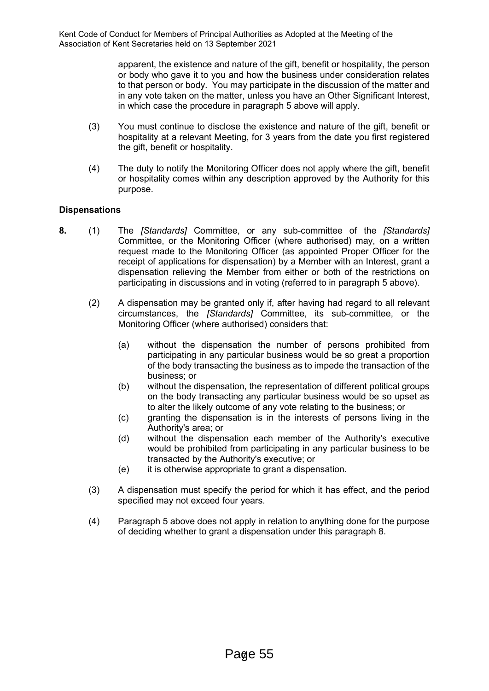> apparent, the existence and nature of the gift, benefit or hospitality, the person or body who gave it to you and how the business under consideration relates to that person or body. You may participate in the discussion of the matter and in any vote taken on the matter, unless you have an Other Significant Interest, in which case the procedure in paragraph 5 above will apply.

- (3) You must continue to disclose the existence and nature of the gift, benefit or hospitality at a relevant Meeting, for 3 years from the date you first registered the gift, benefit or hospitality.
- (4) The duty to notify the Monitoring Officer does not apply where the gift, benefit or hospitality comes within any description approved by the Authority for this purpose.

# **Dispensations**

- **8.** (1) The *[Standards]* Committee, or any sub-committee of the *[Standards]* Committee, or the Monitoring Officer (where authorised) may, on a written request made to the Monitoring Officer (as appointed Proper Officer for the receipt of applications for dispensation) by a Member with an Interest, grant a dispensation relieving the Member from either or both of the restrictions on participating in discussions and in voting (referred to in paragraph 5 above).
	- (2) A dispensation may be granted only if, after having had regard to all relevant circumstances, the *[Standards]* Committee, its sub-committee, or the Monitoring Officer (where authorised) considers that:
		- (a) without the dispensation the number of persons prohibited from participating in any particular business would be so great a proportion of the body transacting the business as to impede the transaction of the business; or
		- (b) without the dispensation, the representation of different political groups on the body transacting any particular business would be so upset as to alter the likely outcome of any vote relating to the business; or
		- (c) granting the dispensation is in the interests of persons living in the Authority's area; or
		- (d) without the dispensation each member of the Authority's executive would be prohibited from participating in any particular business to be transacted by the Authority's executive; or
		- (e) it is otherwise appropriate to grant a dispensation.
	- (3) A dispensation must specify the period for which it has effect, and the period specified may not exceed four years.
	- (4) Paragraph 5 above does not apply in relation to anything done for the purpose of deciding whether to grant a dispensation under this paragraph 8.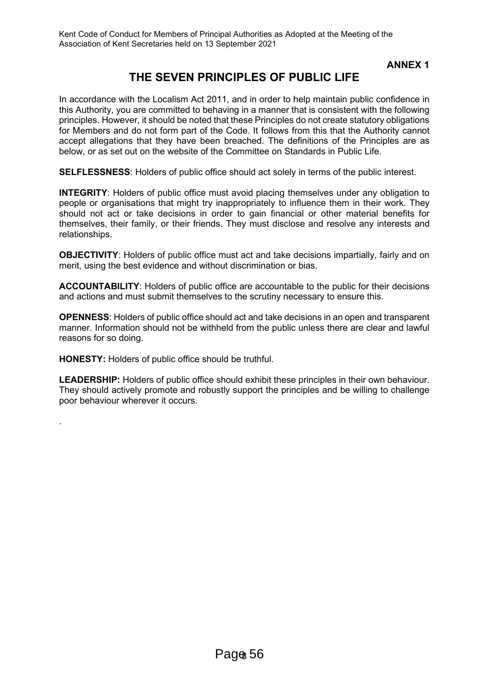**ANNEX 1**

# **THE SEVEN PRINCIPLES OF PUBLIC LIFE**

In accordance with the Localism Act 2011, and in order to help maintain public confidence in this Authority, you are committed to behaving in a manner that is consistent with the following principles. However, it should be noted that these Principles do not create statutory obligations for Members and do not form part of the Code. It follows from this that the Authority cannot accept allegations that they have been breached. The definitions of the Principles are as below, or as set out on the website of the Committee on Standards in Public Life.

**SELFLESSNESS**: Holders of public office should act solely in terms of the public interest.

**INTEGRITY**: Holders of public office must avoid placing themselves under any obligation to people or organisations that might try inappropriately to influence them in their work. They should not act or take decisions in order to gain financial or other material benefits for themselves, their family, or their friends. They must disclose and resolve any interests and relationships.

**OBJECTIVITY**: Holders of public office must act and take decisions impartially, fairly and on merit, using the best evidence and without discrimination or bias.

**ACCOUNTABILITY**: Holders of public office are accountable to the public for their decisions and actions and must submit themselves to the scrutiny necessary to ensure this.

**OPENNESS**: Holders of public office should act and take decisions in an open and transparent manner. Information should not be withheld from the public unless there are clear and lawful reasons for so doing.

**HONESTY:** Holders of public office should be truthful.

.

**LEADERSHIP:** Holders of public office should exhibit these principles in their own behaviour. They should actively promote and robustly support the principles and be willing to challenge poor behaviour wherever it occurs.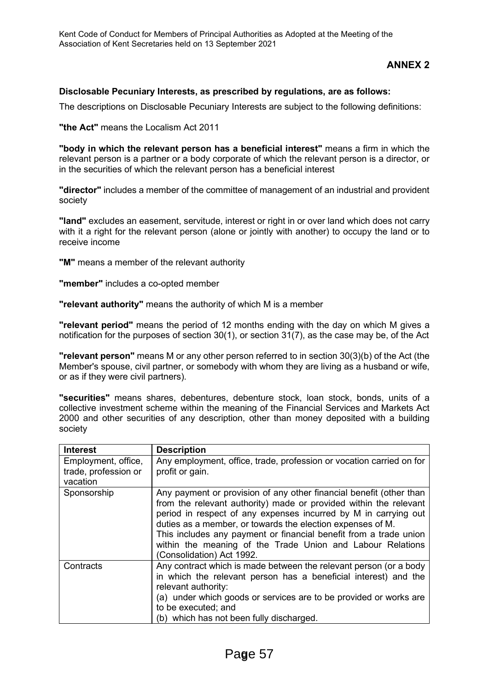# **ANNEX 2**

#### **Disclosable Pecuniary Interests, as prescribed by regulations, are as follows:**

The descriptions on Disclosable Pecuniary Interests are subject to the following definitions:

**"the Act"** means the Localism Act 2011

**"body in which the relevant person has a beneficial interest"** means a firm in which the relevant person is a partner or a body corporate of which the relevant person is a director, or in the securities of which the relevant person has a beneficial interest

**"director"** includes a member of the committee of management of an industrial and provident society

**"land"** excludes an easement, servitude, interest or right in or over land which does not carry with it a right for the relevant person (alone or jointly with another) to occupy the land or to receive income

**"M"** means a member of the relevant authority

**"member"** includes a co-opted member

**"relevant authority"** means the authority of which M is a member

**"relevant period"** means the period of 12 months ending with the day on which M gives a notification for the purposes of section 30(1), or section 31(7), as the case may be, of the Act

**"relevant person"** means M or any other person referred to in section 30(3)(b) of the Act (the Member's spouse, civil partner, or somebody with whom they are living as a husband or wife, or as if they were civil partners).

**"securities"** means shares, debentures, debenture stock, loan stock, bonds, units of a collective investment scheme within the meaning of the Financial Services and Markets Act 2000 and other securities of any description, other than money deposited with a building society

| <b>Interest</b>                                         | <b>Description</b>                                                                                                                                                                                                                                                                                                                                                                                                                        |
|---------------------------------------------------------|-------------------------------------------------------------------------------------------------------------------------------------------------------------------------------------------------------------------------------------------------------------------------------------------------------------------------------------------------------------------------------------------------------------------------------------------|
| Employment, office,<br>trade, profession or<br>vacation | Any employment, office, trade, profession or vocation carried on for<br>profit or gain.                                                                                                                                                                                                                                                                                                                                                   |
| Sponsorship                                             | Any payment or provision of any other financial benefit (other than<br>from the relevant authority) made or provided within the relevant<br>period in respect of any expenses incurred by M in carrying out<br>duties as a member, or towards the election expenses of M.<br>This includes any payment or financial benefit from a trade union<br>within the meaning of the Trade Union and Labour Relations<br>(Consolidation) Act 1992. |
| Contracts                                               | Any contract which is made between the relevant person (or a body<br>in which the relevant person has a beneficial interest) and the<br>relevant authority:<br>(a) under which goods or services are to be provided or works are<br>to be executed; and<br>(b) which has not been fully discharged.                                                                                                                                       |